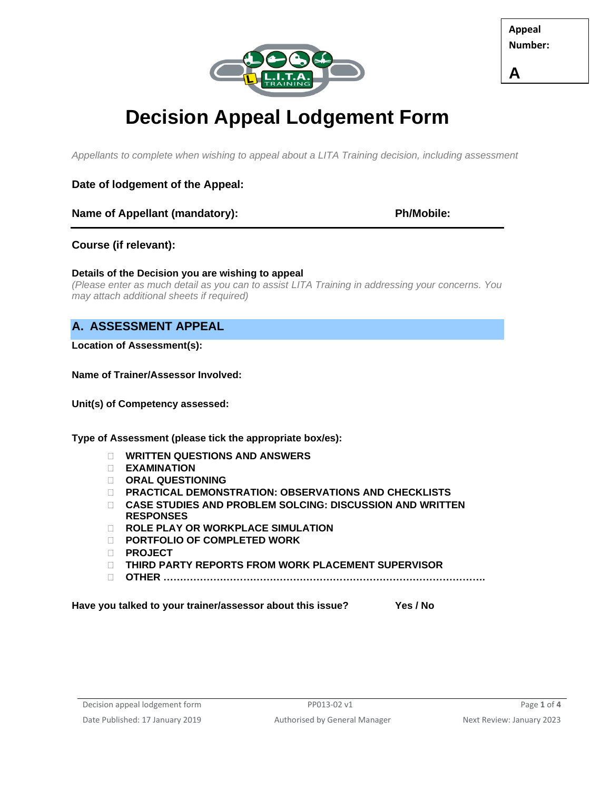

**Appeal Number:**

**A**

# **Decision Appeal Lodgement Form**

*Appellants to complete when wishing to appeal about a LITA Training decision, including assessment*

## **Date of lodgement of the Appeal:**

## **Name of Appellant (mandatory): Ph/Mobile:**

## **Course (if relevant):**

## **Details of the Decision you are wishing to appeal**

*(Please enter as much detail as you can to assist LITA Training in addressing your concerns. You may attach additional sheets if required)*

# **A. ASSESSMENT APPEAL**

**Location of Assessment(s):** 

**Name of Trainer/Assessor Involved:** 

**Unit(s) of Competency assessed:** 

**Type of Assessment (please tick the appropriate box/es):**

- **WRITTEN QUESTIONS AND ANSWERS**
- **EXAMINATION**
- **ORAL QUESTIONING**
- **PRACTICAL DEMONSTRATION: OBSERVATIONS AND CHECKLISTS**
- **CASE STUDIES AND PROBLEM SOLCING: DISCUSSION AND WRITTEN RESPONSES**
- **ROLE PLAY OR WORKPLACE SIMULATION**
- **PORTFOLIO OF COMPLETED WORK**
- **PROJECT**
- **THIRD PARTY REPORTS FROM WORK PLACEMENT SUPERVISOR**
- **OTHER …………………………………………………………………………………….**

**Have you talked to your trainer/assessor about this issue? Yes / No**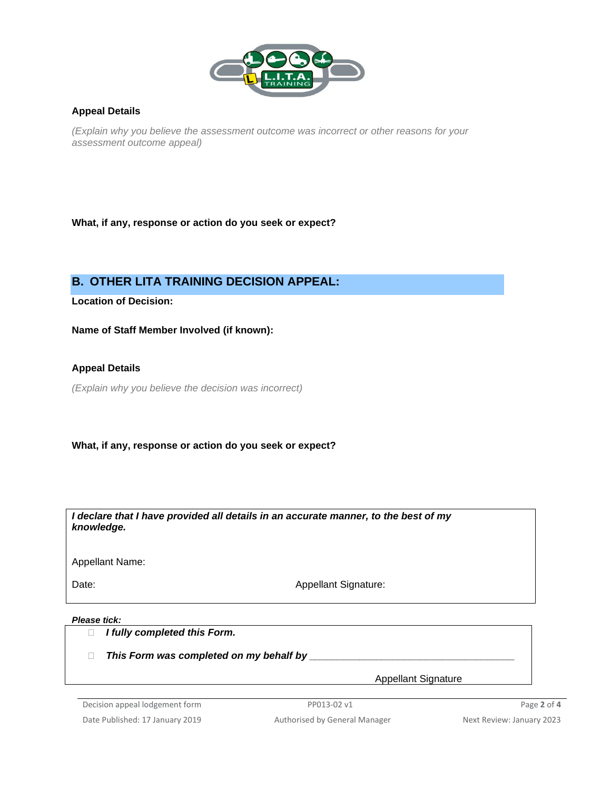

### **Appeal Details**

*(Explain why you believe the assessment outcome was incorrect or other reasons for your assessment outcome appeal)*

**What, if any, response or action do you seek or expect?**

# **B. OTHER LITA TRAINING DECISION APPEAL:**

**Location of Decision:** 

**Name of Staff Member Involved (if known):** 

**Appeal Details**

*(Explain why you believe the decision was incorrect)*

**What, if any, response or action do you seek or expect?**

*I declare that I have provided all details in an accurate manner, to the best of my knowledge.*

Appellant Name:

Date: Date: **Appellant Signature:** Appellant Signature:

#### *Please tick:*

*I fully completed this Form.*

*This Form was completed on my behalf by \_\_\_\_\_\_\_\_\_\_\_\_\_\_\_\_\_\_\_\_\_\_\_\_\_\_\_\_\_\_\_\_\_\_\_\_\_*

Appellant Signature

Decision appeal lodgement form **PP013-02 v1** PP013-02 v1 Page 2 of 4 Date Published: 17 January 2019 **Authorised by General Manager** Next Review: January 2023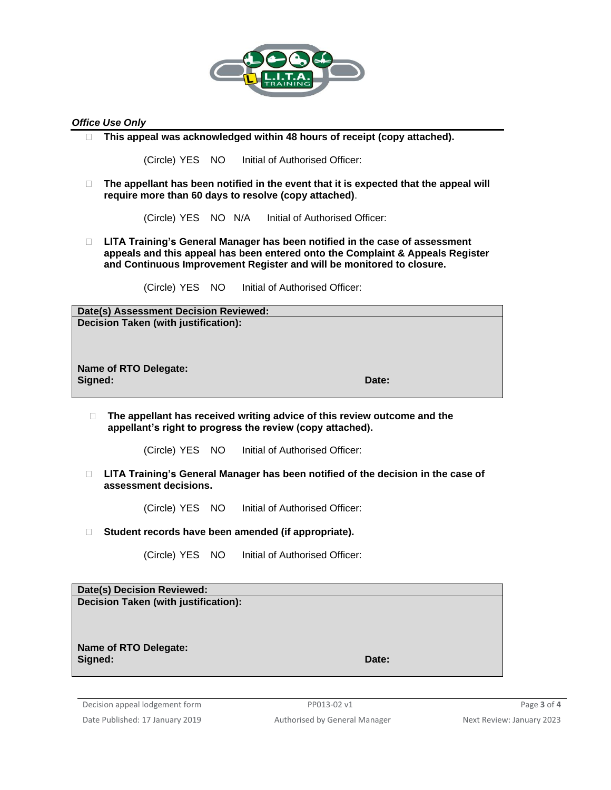

#### *Office Use Only*

**This appeal was acknowledged within 48 hours of receipt (copy attached).** 

(Circle) YES NO Initial of Authorised Officer:

□ The appellant has been notified in the event that it is expected that the appeal will **require more than 60 days to resolve (copy attached)**.

(Circle) YES NO N/A Initial of Authorised Officer:

 **LITA Training's General Manager has been notified in the case of assessment appeals and this appeal has been entered onto the Complaint & Appeals Register and Continuous Improvement Register and will be monitored to closure.**

(Circle) YES NO Initial of Authorised Officer:

**Date(s) Assessment Decision Reviewed: Decision Taken (with justification):**

**Name of RTO Delegate: Signed: Date:**

- **The appellant has received writing advice of this review outcome and the appellant's right to progress the review (copy attached).** 
	- (Circle) YES NO Initial of Authorised Officer:
- **LITA Training's General Manager has been notified of the decision in the case of assessment decisions.**

(Circle) YES NO Initial of Authorised Officer:

**Student records have been amended (if appropriate).**

(Circle) YES NO Initial of Authorised Officer:

| Date(s) Decision Reviewed:           |       |
|--------------------------------------|-------|
| Decision Taken (with justification): |       |
|                                      |       |
|                                      |       |
|                                      |       |
| Name of RTO Delegate:                |       |
| Signed:                              | Date: |
|                                      |       |